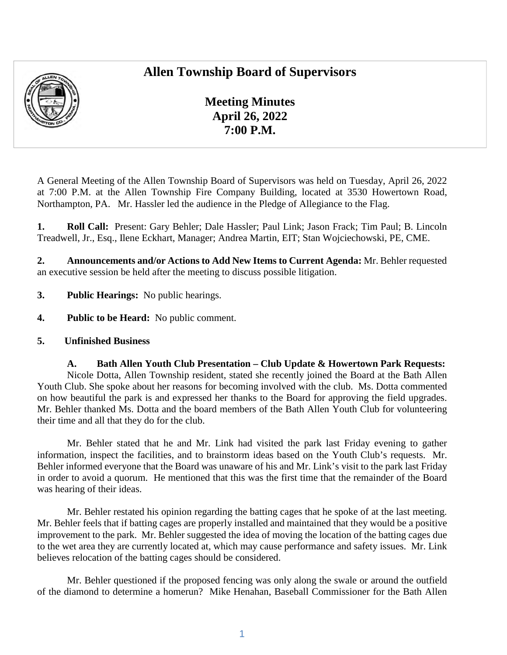## **Allen Township Board of Supervisors**



**Meeting Minutes April 26, 2022 7:00 P.M.** 

A General Meeting of the Allen Township Board of Supervisors was held on Tuesday, April 26, 2022 at 7:00 P.M. at the Allen Township Fire Company Building, located at 3530 Howertown Road, Northampton, PA. Mr. Hassler led the audience in the Pledge of Allegiance to the Flag.

**1. Roll Call:** Present: Gary Behler; Dale Hassler; Paul Link; Jason Frack; Tim Paul; B. Lincoln Treadwell, Jr., Esq., Ilene Eckhart, Manager; Andrea Martin, EIT; Stan Wojciechowski, PE, CME.

**2. Announcements and/or Actions to Add New Items to Current Agenda:** Mr. Behler requested an executive session be held after the meeting to discuss possible litigation.

- **3. Public Hearings:** No public hearings.
- **4. Public to be Heard:** No public comment.
- **5. Unfinished Business**

**A. Bath Allen Youth Club Presentation – Club Update & Howertown Park Requests:**  Nicole Dotta, Allen Township resident, stated she recently joined the Board at the Bath Allen Youth Club. She spoke about her reasons for becoming involved with the club. Ms. Dotta commented on how beautiful the park is and expressed her thanks to the Board for approving the field upgrades. Mr. Behler thanked Ms. Dotta and the board members of the Bath Allen Youth Club for volunteering their time and all that they do for the club.

Mr. Behler stated that he and Mr. Link had visited the park last Friday evening to gather information, inspect the facilities, and to brainstorm ideas based on the Youth Club's requests. Mr. Behler informed everyone that the Board was unaware of his and Mr. Link's visit to the park last Friday in order to avoid a quorum. He mentioned that this was the first time that the remainder of the Board was hearing of their ideas.

Mr. Behler restated his opinion regarding the batting cages that he spoke of at the last meeting. Mr. Behler feels that if batting cages are properly installed and maintained that they would be a positive improvement to the park. Mr. Behler suggested the idea of moving the location of the batting cages due to the wet area they are currently located at, which may cause performance and safety issues. Mr. Link believes relocation of the batting cages should be considered.

Mr. Behler questioned if the proposed fencing was only along the swale or around the outfield of the diamond to determine a homerun? Mike Henahan, Baseball Commissioner for the Bath Allen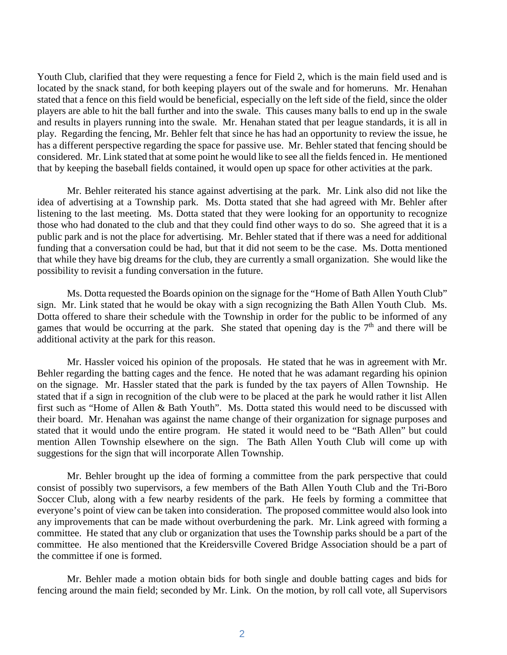Youth Club, clarified that they were requesting a fence for Field 2, which is the main field used and is located by the snack stand, for both keeping players out of the swale and for homeruns. Mr. Henahan stated that a fence on this field would be beneficial, especially on the left side of the field, since the older players are able to hit the ball further and into the swale. This causes many balls to end up in the swale and results in players running into the swale. Mr. Henahan stated that per league standards, it is all in play. Regarding the fencing, Mr. Behler felt that since he has had an opportunity to review the issue, he has a different perspective regarding the space for passive use. Mr. Behler stated that fencing should be considered. Mr. Link stated that at some point he would like to see all the fields fenced in. He mentioned that by keeping the baseball fields contained, it would open up space for other activities at the park.

Mr. Behler reiterated his stance against advertising at the park. Mr. Link also did not like the idea of advertising at a Township park. Ms. Dotta stated that she had agreed with Mr. Behler after listening to the last meeting. Ms. Dotta stated that they were looking for an opportunity to recognize those who had donated to the club and that they could find other ways to do so. She agreed that it is a public park and is not the place for advertising. Mr. Behler stated that if there was a need for additional funding that a conversation could be had, but that it did not seem to be the case. Ms. Dotta mentioned that while they have big dreams for the club, they are currently a small organization. She would like the possibility to revisit a funding conversation in the future.

Ms. Dotta requested the Boards opinion on the signage for the "Home of Bath Allen Youth Club" sign. Mr. Link stated that he would be okay with a sign recognizing the Bath Allen Youth Club. Ms. Dotta offered to share their schedule with the Township in order for the public to be informed of any games that would be occurring at the park. She stated that opening day is the  $7<sup>th</sup>$  and there will be additional activity at the park for this reason.

Mr. Hassler voiced his opinion of the proposals. He stated that he was in agreement with Mr. Behler regarding the batting cages and the fence. He noted that he was adamant regarding his opinion on the signage. Mr. Hassler stated that the park is funded by the tax payers of Allen Township. He stated that if a sign in recognition of the club were to be placed at the park he would rather it list Allen first such as "Home of Allen & Bath Youth". Ms. Dotta stated this would need to be discussed with their board. Mr. Henahan was against the name change of their organization for signage purposes and stated that it would undo the entire program. He stated it would need to be "Bath Allen" but could mention Allen Township elsewhere on the sign. The Bath Allen Youth Club will come up with suggestions for the sign that will incorporate Allen Township.

Mr. Behler brought up the idea of forming a committee from the park perspective that could consist of possibly two supervisors, a few members of the Bath Allen Youth Club and the Tri-Boro Soccer Club, along with a few nearby residents of the park. He feels by forming a committee that everyone's point of view can be taken into consideration. The proposed committee would also look into any improvements that can be made without overburdening the park. Mr. Link agreed with forming a committee. He stated that any club or organization that uses the Township parks should be a part of the committee. He also mentioned that the Kreidersville Covered Bridge Association should be a part of the committee if one is formed.

Mr. Behler made a motion obtain bids for both single and double batting cages and bids for fencing around the main field; seconded by Mr. Link. On the motion, by roll call vote, all Supervisors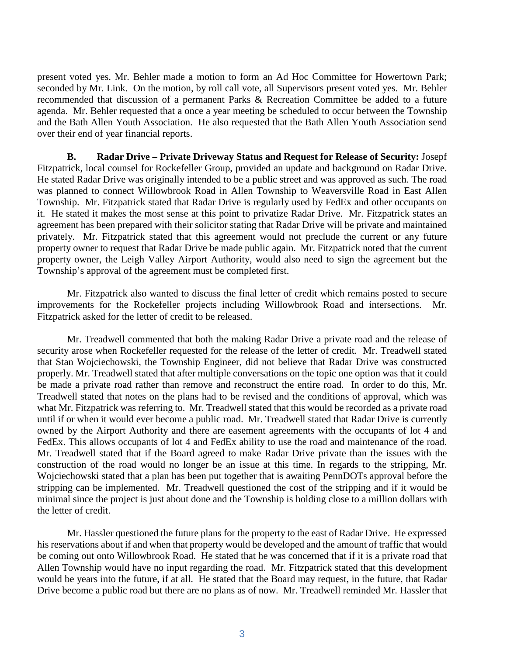present voted yes. Mr. Behler made a motion to form an Ad Hoc Committee for Howertown Park; seconded by Mr. Link. On the motion, by roll call vote, all Supervisors present voted yes. Mr. Behler recommended that discussion of a permanent Parks & Recreation Committee be added to a future agenda. Mr. Behler requested that a once a year meeting be scheduled to occur between the Township and the Bath Allen Youth Association. He also requested that the Bath Allen Youth Association send over their end of year financial reports.

**B. Radar Drive – Private Driveway Status and Request for Release of Security:** Josepf Fitzpatrick, local counsel for Rockefeller Group, provided an update and background on Radar Drive. He stated Radar Drive was originally intended to be a public street and was approved as such. The road was planned to connect Willowbrook Road in Allen Township to Weaversville Road in East Allen Township. Mr. Fitzpatrick stated that Radar Drive is regularly used by FedEx and other occupants on it. He stated it makes the most sense at this point to privatize Radar Drive. Mr. Fitzpatrick states an agreement has been prepared with their solicitor stating that Radar Drive will be private and maintained privately. Mr. Fitzpatrick stated that this agreement would not preclude the current or any future property owner to request that Radar Drive be made public again. Mr. Fitzpatrick noted that the current property owner, the Leigh Valley Airport Authority, would also need to sign the agreement but the Township's approval of the agreement must be completed first.

Mr. Fitzpatrick also wanted to discuss the final letter of credit which remains posted to secure improvements for the Rockefeller projects including Willowbrook Road and intersections. Mr. Fitzpatrick asked for the letter of credit to be released.

Mr. Treadwell commented that both the making Radar Drive a private road and the release of security arose when Rockefeller requested for the release of the letter of credit. Mr. Treadwell stated that Stan Wojciechowski, the Township Engineer, did not believe that Radar Drive was constructed properly. Mr. Treadwell stated that after multiple conversations on the topic one option was that it could be made a private road rather than remove and reconstruct the entire road. In order to do this, Mr. Treadwell stated that notes on the plans had to be revised and the conditions of approval, which was what Mr. Fitzpatrick was referring to. Mr. Treadwell stated that this would be recorded as a private road until if or when it would ever become a public road. Mr. Treadwell stated that Radar Drive is currently owned by the Airport Authority and there are easement agreements with the occupants of lot 4 and FedEx. This allows occupants of lot 4 and FedEx ability to use the road and maintenance of the road. Mr. Treadwell stated that if the Board agreed to make Radar Drive private than the issues with the construction of the road would no longer be an issue at this time. In regards to the stripping, Mr. Wojciechowski stated that a plan has been put together that is awaiting PennDOTs approval before the stripping can be implemented. Mr. Treadwell questioned the cost of the stripping and if it would be minimal since the project is just about done and the Township is holding close to a million dollars with the letter of credit.

Mr. Hassler questioned the future plans for the property to the east of Radar Drive. He expressed his reservations about if and when that property would be developed and the amount of traffic that would be coming out onto Willowbrook Road. He stated that he was concerned that if it is a private road that Allen Township would have no input regarding the road. Mr. Fitzpatrick stated that this development would be years into the future, if at all. He stated that the Board may request, in the future, that Radar Drive become a public road but there are no plans as of now. Mr. Treadwell reminded Mr. Hassler that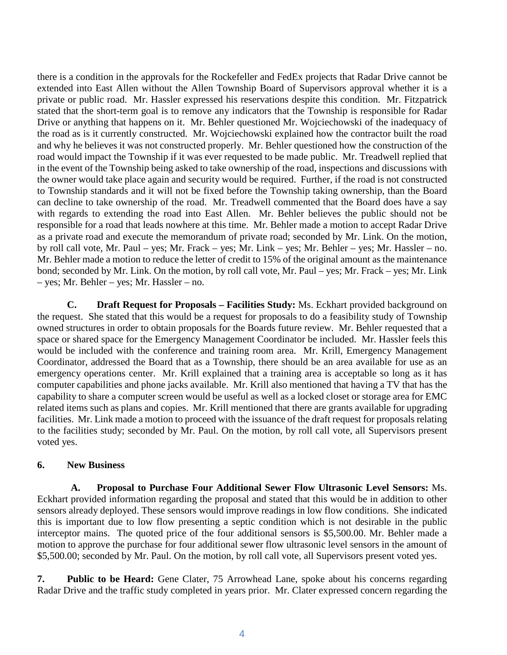there is a condition in the approvals for the Rockefeller and FedEx projects that Radar Drive cannot be extended into East Allen without the Allen Township Board of Supervisors approval whether it is a private or public road. Mr. Hassler expressed his reservations despite this condition. Mr. Fitzpatrick stated that the short-term goal is to remove any indicators that the Township is responsible for Radar Drive or anything that happens on it. Mr. Behler questioned Mr. Wojciechowski of the inadequacy of the road as is it currently constructed. Mr. Wojciechowski explained how the contractor built the road and why he believes it was not constructed properly. Mr. Behler questioned how the construction of the road would impact the Township if it was ever requested to be made public. Mr. Treadwell replied that in the event of the Township being asked to take ownership of the road, inspections and discussions with the owner would take place again and security would be required. Further, if the road is not constructed to Township standards and it will not be fixed before the Township taking ownership, than the Board can decline to take ownership of the road. Mr. Treadwell commented that the Board does have a say with regards to extending the road into East Allen. Mr. Behler believes the public should not be responsible for a road that leads nowhere at this time. Mr. Behler made a motion to accept Radar Drive as a private road and execute the memorandum of private road; seconded by Mr. Link. On the motion, by roll call vote, Mr. Paul – yes; Mr. Frack – yes; Mr. Link – yes; Mr. Behler – yes; Mr. Hassler – no. Mr. Behler made a motion to reduce the letter of credit to 15% of the original amount as the maintenance bond; seconded by Mr. Link. On the motion, by roll call vote, Mr. Paul – yes; Mr. Frack – yes; Mr. Link – yes; Mr. Behler – yes; Mr. Hassler – no.

**C. Draft Request for Proposals – Facilities Study:** Ms. Eckhart provided background on the request. She stated that this would be a request for proposals to do a feasibility study of Township owned structures in order to obtain proposals for the Boards future review. Mr. Behler requested that a space or shared space for the Emergency Management Coordinator be included. Mr. Hassler feels this would be included with the conference and training room area. Mr. Krill, Emergency Management Coordinator, addressed the Board that as a Township, there should be an area available for use as an emergency operations center. Mr. Krill explained that a training area is acceptable so long as it has computer capabilities and phone jacks available. Mr. Krill also mentioned that having a TV that has the capability to share a computer screen would be useful as well as a locked closet or storage area for EMC related items such as plans and copies. Mr. Krill mentioned that there are grants available for upgrading facilities. Mr. Link made a motion to proceed with the issuance of the draft request for proposals relating to the facilities study; seconded by Mr. Paul. On the motion, by roll call vote, all Supervisors present voted yes.

## **6. New Business**

**A. Proposal to Purchase Four Additional Sewer Flow Ultrasonic Level Sensors:** Ms. Eckhart provided information regarding the proposal and stated that this would be in addition to other sensors already deployed. These sensors would improve readings in low flow conditions. She indicated this is important due to low flow presenting a septic condition which is not desirable in the public interceptor mains. The quoted price of the four additional sensors is \$5,500.00. Mr. Behler made a motion to approve the purchase for four additional sewer flow ultrasonic level sensors in the amount of \$5,500.00; seconded by Mr. Paul. On the motion, by roll call vote, all Supervisors present voted yes.

**7. Public to be Heard:** Gene Clater, 75 Arrowhead Lane, spoke about his concerns regarding Radar Drive and the traffic study completed in years prior. Mr. Clater expressed concern regarding the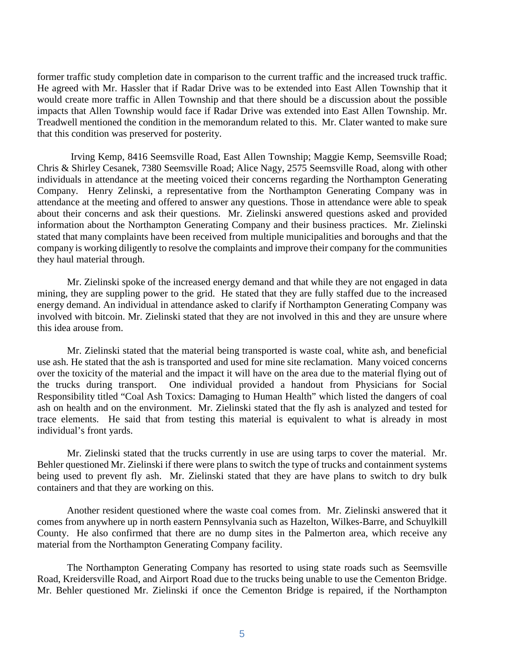former traffic study completion date in comparison to the current traffic and the increased truck traffic. He agreed with Mr. Hassler that if Radar Drive was to be extended into East Allen Township that it would create more traffic in Allen Township and that there should be a discussion about the possible impacts that Allen Township would face if Radar Drive was extended into East Allen Township. Mr. Treadwell mentioned the condition in the memorandum related to this. Mr. Clater wanted to make sure that this condition was preserved for posterity.

Irving Kemp, 8416 Seemsville Road, East Allen Township; Maggie Kemp, Seemsville Road; Chris & Shirley Cesanek, 7380 Seemsville Road; Alice Nagy, 2575 Seemsville Road, along with other individuals in attendance at the meeting voiced their concerns regarding the Northampton Generating Company. Henry Zelinski, a representative from the Northampton Generating Company was in attendance at the meeting and offered to answer any questions. Those in attendance were able to speak about their concerns and ask their questions. Mr. Zielinski answered questions asked and provided information about the Northampton Generating Company and their business practices. Mr. Zielinski stated that many complaints have been received from multiple municipalities and boroughs and that the company is working diligently to resolve the complaints and improve their company for the communities they haul material through.

Mr. Zielinski spoke of the increased energy demand and that while they are not engaged in data mining, they are suppling power to the grid. He stated that they are fully staffed due to the increased energy demand. An individual in attendance asked to clarify if Northampton Generating Company was involved with bitcoin. Mr. Zielinski stated that they are not involved in this and they are unsure where this idea arouse from.

Mr. Zielinski stated that the material being transported is waste coal, white ash, and beneficial use ash. He stated that the ash is transported and used for mine site reclamation. Many voiced concerns over the toxicity of the material and the impact it will have on the area due to the material flying out of the trucks during transport. One individual provided a handout from Physicians for Social Responsibility titled "Coal Ash Toxics: Damaging to Human Health" which listed the dangers of coal ash on health and on the environment. Mr. Zielinski stated that the fly ash is analyzed and tested for trace elements. He said that from testing this material is equivalent to what is already in most individual's front yards.

Mr. Zielinski stated that the trucks currently in use are using tarps to cover the material. Mr. Behler questioned Mr. Zielinski if there were plans to switch the type of trucks and containment systems being used to prevent fly ash. Mr. Zielinski stated that they are have plans to switch to dry bulk containers and that they are working on this.

Another resident questioned where the waste coal comes from. Mr. Zielinski answered that it comes from anywhere up in north eastern Pennsylvania such as Hazelton, Wilkes-Barre, and Schuylkill County. He also confirmed that there are no dump sites in the Palmerton area, which receive any material from the Northampton Generating Company facility.

The Northampton Generating Company has resorted to using state roads such as Seemsville Road, Kreidersville Road, and Airport Road due to the trucks being unable to use the Cementon Bridge. Mr. Behler questioned Mr. Zielinski if once the Cementon Bridge is repaired, if the Northampton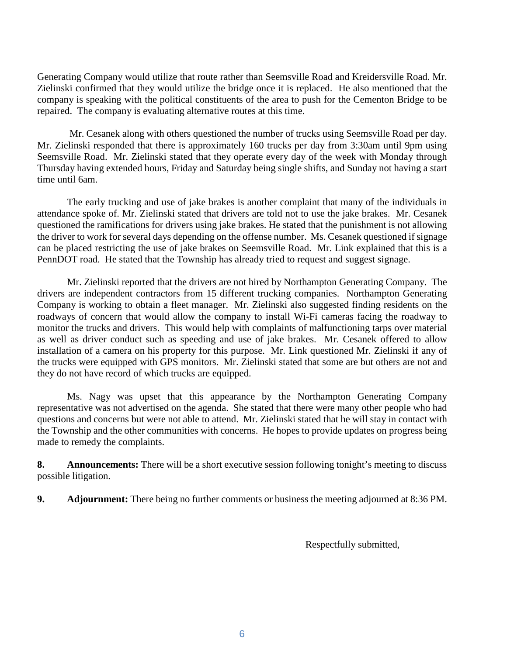Generating Company would utilize that route rather than Seemsville Road and Kreidersville Road. Mr. Zielinski confirmed that they would utilize the bridge once it is replaced. He also mentioned that the company is speaking with the political constituents of the area to push for the Cementon Bridge to be repaired. The company is evaluating alternative routes at this time.

 Mr. Cesanek along with others questioned the number of trucks using Seemsville Road per day. Mr. Zielinski responded that there is approximately 160 trucks per day from 3:30am until 9pm using Seemsville Road. Mr. Zielinski stated that they operate every day of the week with Monday through Thursday having extended hours, Friday and Saturday being single shifts, and Sunday not having a start time until 6am.

The early trucking and use of jake brakes is another complaint that many of the individuals in attendance spoke of. Mr. Zielinski stated that drivers are told not to use the jake brakes. Mr. Cesanek questioned the ramifications for drivers using jake brakes. He stated that the punishment is not allowing the driver to work for several days depending on the offense number. Ms. Cesanek questioned if signage can be placed restricting the use of jake brakes on Seemsville Road. Mr. Link explained that this is a PennDOT road. He stated that the Township has already tried to request and suggest signage.

Mr. Zielinski reported that the drivers are not hired by Northampton Generating Company. The drivers are independent contractors from 15 different trucking companies. Northampton Generating Company is working to obtain a fleet manager. Mr. Zielinski also suggested finding residents on the roadways of concern that would allow the company to install Wi-Fi cameras facing the roadway to monitor the trucks and drivers. This would help with complaints of malfunctioning tarps over material as well as driver conduct such as speeding and use of jake brakes. Mr. Cesanek offered to allow installation of a camera on his property for this purpose. Mr. Link questioned Mr. Zielinski if any of the trucks were equipped with GPS monitors. Mr. Zielinski stated that some are but others are not and they do not have record of which trucks are equipped.

Ms. Nagy was upset that this appearance by the Northampton Generating Company representative was not advertised on the agenda. She stated that there were many other people who had questions and concerns but were not able to attend. Mr. Zielinski stated that he will stay in contact with the Township and the other communities with concerns. He hopes to provide updates on progress being made to remedy the complaints.

**8.** Announcements: There will be a short executive session following tonight's meeting to discuss possible litigation.

**9. Adjournment:** There being no further comments or business the meeting adjourned at 8:36 PM.

Respectfully submitted,